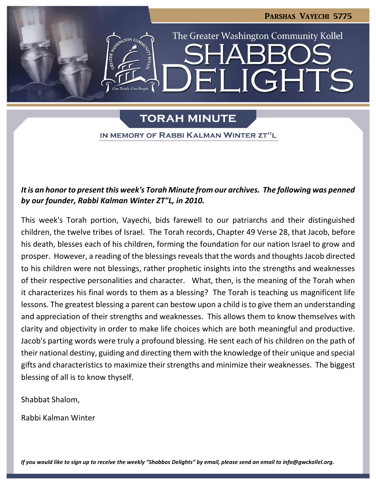

**TORAH MINUTE** 

IN MEMORY OF RABBI KALMAN WINTER ZT"L

### *It is an honor to present this week's Torah Minute from our archives. The following was penned by our founder, Rabbi Kalman Winter ZT"L, in 2010.*

This week's Torah portion, Vayechi, bids farewell to our patriarchs and their distinguished children, the twelve tribes of Israel. The Torah records, Chapter 49 Verse 28, that Jacob, before his death, blesses each of his children, forming the foundation for our nation Israel to grow and prosper. However, a reading of the blessings reveals that the words and thoughts Jacob directed to his children were not blessings, rather prophetic insights into the strengths and weaknesses of their respective personalities and character. What, then, is the meaning of the Torah when it characterizes his final words to them as a blessing? The Torah is teaching us magnificent life lessons. The greatest blessing a parent can bestow upon a child is to give them an understanding and appreciation of their strengths and weaknesses. This allows them to know themselves with clarity and objectivity in order to make life choices which are both meaningful and productive. Jacob's parting words were truly a profound blessing. He sent each of his children on the path of their national destiny, guiding and directing them with the knowledge of their unique and special gifts and characteristics to maximize their strengths and minimize their weaknesses. The biggest blessing of all is to know thyself.

Shabbat Shalom,

Rabbi Kalman Winter

*If you would like to sign up to receive the weekly "Shabbos Delights" by email, please send an email to [info@gwckollel.org.](mailto:info@gwckollel.org)*